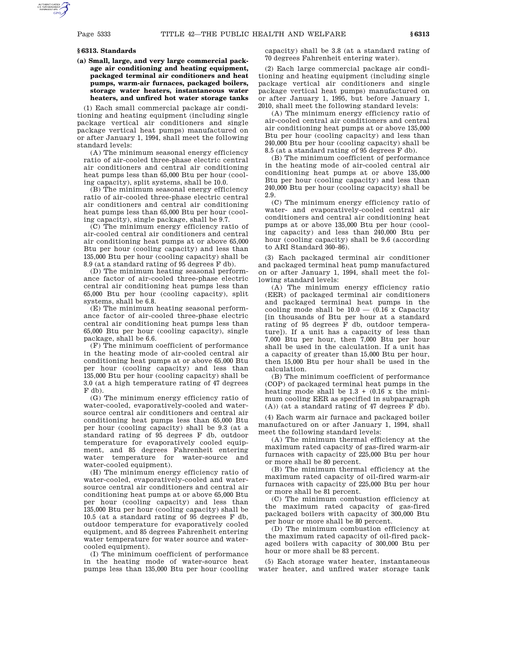#### **§ 6313. Standards**

**(a) Small, large, and very large commercial package air conditioning and heating equipment, packaged terminal air conditioners and heat pumps, warm-air furnaces, packaged boilers, storage water heaters, instantaneous water heaters, and unfired hot water storage tanks**

(1) Each small commercial package air conditioning and heating equipment (including single package vertical air conditioners and single package vertical heat pumps) manufactured on or after January 1, 1994, shall meet the following standard levels:

(A) The minimum seasonal energy efficiency ratio of air-cooled three-phase electric central air conditioners and central air conditioning heat pumps less than 65,000 Btu per hour (cooling capacity), split systems, shall be 10.0.

(B) The minimum seasonal energy efficiency ratio of air-cooled three-phase electric central air conditioners and central air conditioning heat pumps less than 65,000 Btu per hour (cooling capacity), single package, shall be 9.7.

(C) The minimum energy efficiency ratio of air-cooled central air conditioners and central air conditioning heat pumps at or above 65,000 Btu per hour (cooling capacity) and less than 135,000 Btu per hour (cooling capacity) shall be 8.9 (at a standard rating of 95 degrees F db).

(D) The minimum heating seasonal performance factor of air-cooled three-phase electric central air conditioning heat pumps less than 65,000 Btu per hour (cooling capacity), split systems, shall be 6.8.

(E) The minimum heating seasonal performance factor of air-cooled three-phase electric central air conditioning heat pumps less than 65,000 Btu per hour (cooling capacity), single package, shall be 6.6.

(F) The minimum coefficient of performance in the heating mode of air-cooled central air conditioning heat pumps at or above 65,000 Btu per hour (cooling capacity) and less than 135,000 Btu per hour (cooling capacity) shall be 3.0 (at a high temperature rating of 47 degrees F db).

(G) The minimum energy efficiency ratio of water-cooled, evaporatively-cooled and watersource central air conditioners and central air conditioning heat pumps less than 65,000 Btu per hour (cooling capacity) shall be 9.3 (at a standard rating of 95 degrees F db, outdoor temperature for evaporatively cooled equipment, and 85 degrees Fahrenheit entering water temperature for water-source and water-cooled equipment).

(H) The minimum energy efficiency ratio of water-cooled, evaporatively-cooled and watersource central air conditioners and central air conditioning heat pumps at or above 65,000 Btu per hour (cooling capacity) and less than 135,000 Btu per hour (cooling capacity) shall be 10.5 (at a standard rating of 95 degrees F db, outdoor temperature for evaporatively cooled equipment, and 85 degrees Fahrenheit entering water temperature for water source and watercooled equipment).

(I) The minimum coefficient of performance in the heating mode of water-source heat pumps less than 135,000 Btu per hour (cooling capacity) shall be 3.8 (at a standard rating of 70 degrees Fahrenheit entering water).

(2) Each large commercial package air conditioning and heating equipment (including single package vertical air conditioners and single package vertical heat pumps) manufactured on or after January 1, 1995, but before January 1, 2010, shall meet the following standard levels:

(A) The minimum energy efficiency ratio of air-cooled central air conditioners and central air conditioning heat pumps at or above 135,000 Btu per hour (cooling capacity) and less than 240,000 Btu per hour (cooling capacity) shall be 8.5 (at a standard rating of 95 degrees F db).

(B) The minimum coefficient of performance in the heating mode of air-cooled central air conditioning heat pumps at or above 135,000 Btu per hour (cooling capacity) and less than 240,000 Btu per hour (cooling capacity) shall be 2.9.

(C) The minimum energy efficiency ratio of water- and evaporatively-cooled central air conditioners and central air conditioning heat pumps at or above 135,000 Btu per hour (cooling capacity) and less than 240,000 Btu per hour (cooling capacity) shall be 9.6 (according to ARI Standard 360–86).

(3) Each packaged terminal air conditioner and packaged terminal heat pump manufactured on or after January 1, 1994, shall meet the following standard levels:

(A) The minimum energy efficiency ratio (EER) of packaged terminal air conditioners and packaged terminal heat pumps in the cooling mode shall be  $10.0 - (0.16 \text{ x Ca}$  Capacity [in thousands of Btu per hour at a standard rating of 95 degrees F db, outdoor temperature]). If a unit has a capacity of less than 7,000 Btu per hour, then 7,000 Btu per hour shall be used in the calculation. If a unit has a capacity of greater than 15,000 Btu per hour, then 15,000 Btu per hour shall be used in the calculation.

(B) The minimum coefficient of performance (COP) of packaged terminal heat pumps in the heating mode shall be  $1.3 + (0.16 \times \text{the mini})$ mum cooling EER as specified in subparagraph (A)) (at a standard rating of 47 degrees F db).

(4) Each warm air furnace and packaged boiler manufactured on or after January 1, 1994, shall meet the following standard levels:

(A) The minimum thermal efficiency at the maximum rated capacity of gas-fired warm-air furnaces with capacity of 225,000 Btu per hour or more shall be 80 percent.

(B) The minimum thermal efficiency at the maximum rated capacity of oil-fired warm-air furnaces with capacity of 225,000 Btu per hour or more shall be 81 percent.

(C) The minimum combustion efficiency at the maximum rated capacity of gas-fired packaged boilers with capacity of 300,000 Btu per hour or more shall be 80 percent.

(D) The minimum combustion efficiency at the maximum rated capacity of oil-fired packaged boilers with capacity of 300,000 Btu per hour or more shall be 83 percent.

(5) Each storage water heater, instantaneous water heater, and unfired water storage tank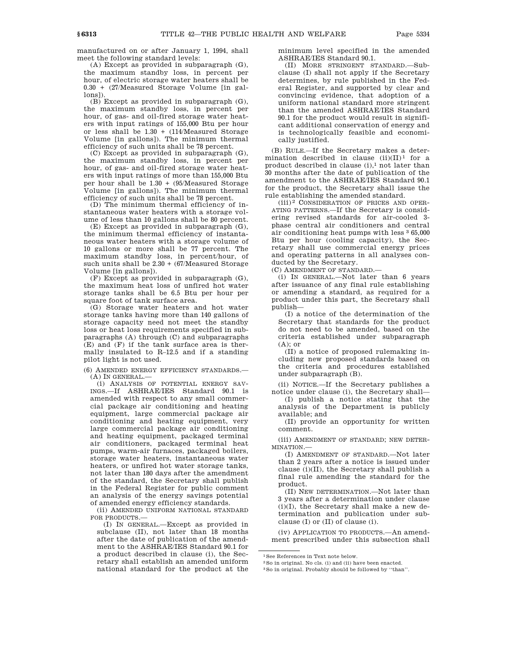manufactured on or after January 1, 1994, shall meet the following standard levels:

(A) Except as provided in subparagraph (G), the maximum standby loss, in percent per hour, of electric storage water heaters shall be 0.30 + (27/Measured Storage Volume [in gallons]).

(B) Except as provided in subparagraph (G), the maximum standby loss, in percent per hour, of gas- and oil-fired storage water heaters with input ratings of 155,000 Btu per hour or less shall be  $1.30 + (114)$ Measured Storage Volume [in gallons]). The minimum thermal efficiency of such units shall be 78 percent.

(C) Except as provided in subparagraph (G), the maximum standby loss, in percent per hour, of gas- and oil-fired storage water heaters with input ratings of more than 155,000 Btu per hour shall be 1.30 + (95/Measured Storage Volume [in gallons]). The minimum thermal efficiency of such units shall be 78 percent.

(D) The minimum thermal efficiency of instantaneous water heaters with a storage volume of less than 10 gallons shall be 80 percent.

(E) Except as provided in subparagraph (G), the minimum thermal efficiency of instantaneous water heaters with a storage volume of 10 gallons or more shall be 77 percent. The maximum standby loss, in percent/hour, of such units shall be 2.30 + (67/Measured Storage Volume [in gallons]).

(F) Except as provided in subparagraph (G), the maximum heat loss of unfired hot water storage tanks shall be 6.5 Btu per hour per square foot of tank surface area.

(G) Storage water heaters and hot water storage tanks having more than 140 gallons of storage capacity need not meet the standby loss or heat loss requirements specified in subparagraphs (A) through (C) and subparagraphs (E) and (F) if the tank surface area is thermally insulated to R–12.5 and if a standing pilot light is not used.

(6) AMENDED ENERGY EFFICIENCY STANDARDS.—  $(A)$  IN GENERAL $-$ 

(i) ANALYSIS OF POTENTIAL ENERGY SAV-INGS.—If ASHRAE/IES Standard 90.1 is amended with respect to any small commercial package air conditioning and heating equipment, large commercial package air conditioning and heating equipment, very large commercial package air conditioning and heating equipment, packaged terminal air conditioners, packaged terminal heat pumps, warm-air furnaces, packaged boilers, storage water heaters, instantaneous water heaters, or unfired hot water storage tanks, not later than 180 days after the amendment of the standard, the Secretary shall publish in the Federal Register for public comment an analysis of the energy savings potential of amended energy efficiency standards.

(ii) AMENDED UNIFORM NATIONAL STANDARD FOR PRODUCTS.—

(I) IN GENERAL.—Except as provided in subclause (II), not later than 18 months after the date of publication of the amendment to the ASHRAE/IES Standard 90.1 for a product described in clause (i), the Secretary shall establish an amended uniform national standard for the product at the

minimum level specified in the amended ASHRAE/IES Standard 90.1.

(II) MORE STRINGENT STANDARD.—Subclause (I) shall not apply if the Secretary determines, by rule published in the Federal Register, and supported by clear and convincing evidence, that adoption of a uniform national standard more stringent than the amended ASHRAE/IES Standard 90.1 for the product would result in significant additional conservation of energy and is technologically feasible and economically justified.

(B) RULE.—If the Secretary makes a determination described in clause  $(ii)(II)^1$  for a product described in clause  $(i)$ ,<sup>1</sup> not later than 30 months after the date of publication of the amendment to the ASHRAE/IES Standard 90.1 for the product, the Secretary shall issue the rule establishing the amended standard.

(iii) 2 CONSIDERATION OF PRICES AND OPER-ATING PATTERNS.—If the Secretary is considering revised standards for air-cooled 3 phase central air conditioners and central air conditioning heat pumps with less 3 65,000 Btu per hour (cooling capacity), the Secretary shall use commercial energy prices and operating patterns in all analyses conducted by the Secretary.

(C) AMENDMENT OF STANDARD.—

(i) IN GENERAL.—Not later than 6 years after issuance of any final rule establishing or amending a standard, as required for a product under this part, the Secretary shall publish—

(I) a notice of the determination of the Secretary that standards for the product do not need to be amended, based on the criteria established under subparagraph  $(A)$ ; or

(II) a notice of proposed rulemaking including new proposed standards based on the criteria and procedures established under subparagraph (B).

(ii) NOTICE.—If the Secretary publishes a notice under clause (i), the Secretary shall—

(I) publish a notice stating that the analysis of the Department is publicly available; and

(II) provide an opportunity for written comment.

(iii) AMENDMENT OF STANDARD; NEW DETER-MINATION.—

(I) AMENDMENT OF STANDARD.—Not later than 2 years after a notice is issued under clause (i)(II), the Secretary shall publish a final rule amending the standard for the product.

(II) NEW DETERMINATION.—Not later than 3 years after a determination under clause (i)(I), the Secretary shall make a new determination and publication under subclause (I) or (II) of clause (i).

(iv) APPLICATION TO PRODUCTS.—An amendment prescribed under this subsection shall

1See References in Text note below.

3So in original. Probably should be followed by ''than''.

<sup>2</sup>So in original. No cls. (i) and (ii) have been enacted.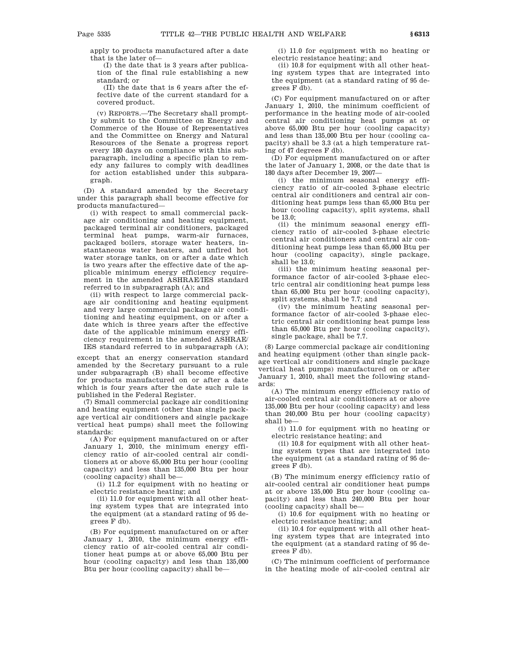apply to products manufactured after a date that is the later of—

(I) the date that is 3 years after publication of the final rule establishing a new standard; or

(II) the date that is 6 years after the effective date of the current standard for a covered product.

(v) REPORTS.—The Secretary shall promptly submit to the Committee on Energy and Commerce of the House of Representatives and the Committee on Energy and Natural Resources of the Senate a progress report every 180 days on compliance with this subparagraph, including a specific plan to remedy any failures to comply with deadlines for action established under this subparagraph.

(D) A standard amended by the Secretary under this paragraph shall become effective for products manufactured—

(i) with respect to small commercial package air conditioning and heating equipment, packaged terminal air conditioners, packaged terminal heat pumps, warm-air furnaces, packaged boilers, storage water heaters, instantaneous water heaters, and unfired hot water storage tanks, on or after a date which is two years after the effective date of the applicable minimum energy efficiency requirement in the amended ASHRAE/IES standard referred to in subparagraph (A); and

(ii) with respect to large commercial package air conditioning and heating equipment and very large commercial package air conditioning and heating equipment, on or after a date which is three years after the effective date of the applicable minimum energy efficiency requirement in the amended ASHRAE/ IES standard referred to in subparagraph (A);

except that an energy conservation standard amended by the Secretary pursuant to a rule under subparagraph (B) shall become effective for products manufactured on or after a date which is four years after the date such rule is published in the Federal Register.

(7) Small commercial package air conditioning and heating equipment (other than single package vertical air conditioners and single package vertical heat pumps) shall meet the following standards:

(A) For equipment manufactured on or after January 1, 2010, the minimum energy efficiency ratio of air-cooled central air conditioners at or above 65,000 Btu per hour (cooling capacity) and less than 135,000 Btu per hour (cooling capacity) shall be—

(i) 11.2 for equipment with no heating or electric resistance heating; and

(ii) 11.0 for equipment with all other heating system types that are integrated into the equipment (at a standard rating of 95 degrees F db).

(B) For equipment manufactured on or after January 1, 2010, the minimum energy efficiency ratio of air-cooled central air conditioner heat pumps at or above 65,000 Btu per hour (cooling capacity) and less than 135,000 Btu per hour (cooling capacity) shall be—

(i) 11.0 for equipment with no heating or electric resistance heating; and

(ii) 10.8 for equipment with all other heating system types that are integrated into the equipment (at a standard rating of 95 degrees F db).

(C) For equipment manufactured on or after January 1, 2010, the minimum coefficient of performance in the heating mode of air-cooled central air conditioning heat pumps at or above 65,000 Btu per hour (cooling capacity) and less than 135,000 Btu per hour (cooling capacity) shall be 3.3 (at a high temperature rating of 47 degrees F db).

(D) For equipment manufactured on or after the later of January 1, 2008, or the date that is 180 days after December 19, 2007—

(i) the minimum seasonal energy efficiency ratio of air-cooled 3-phase electric central air conditioners and central air conditioning heat pumps less than 65,000 Btu per hour (cooling capacity), split systems, shall be 13.0;

(ii) the minimum seasonal energy efficiency ratio of air-cooled 3-phase electric central air conditioners and central air conditioning heat pumps less than 65,000 Btu per hour (cooling capacity), single package, shall be 13.0;

(iii) the minimum heating seasonal performance factor of air-cooled 3-phase electric central air conditioning heat pumps less than 65,000 Btu per hour (cooling capacity), split systems, shall be 7.7; and

(iv) the minimum heating seasonal performance factor of air-cooled 3-phase electric central air conditioning heat pumps less than 65,000 Btu per hour (cooling capacity), single package, shall be 7.7.

(8) Large commercial package air conditioning and heating equipment (other than single package vertical air conditioners and single package vertical heat pumps) manufactured on or after January 1, 2010, shall meet the following standards:

(A) The minimum energy efficiency ratio of air-cooled central air conditioners at or above 135,000 Btu per hour (cooling capacity) and less than 240,000 Btu per hour (cooling capacity) shall be—

(i) 11.0 for equipment with no heating or electric resistance heating; and

(ii) 10.8 for equipment with all other heating system types that are integrated into the equipment (at a standard rating of 95 degrees F db).

(B) The minimum energy efficiency ratio of air-cooled central air conditioner heat pumps at or above 135,000 Btu per hour (cooling capacity) and less than 240,000 Btu per hour (cooling capacity) shall be—

(i) 10.6 for equipment with no heating or electric resistance heating; and

(ii) 10.4 for equipment with all other heating system types that are integrated into the equipment (at a standard rating of 95 degrees F db).

(C) The minimum coefficient of performance in the heating mode of air-cooled central air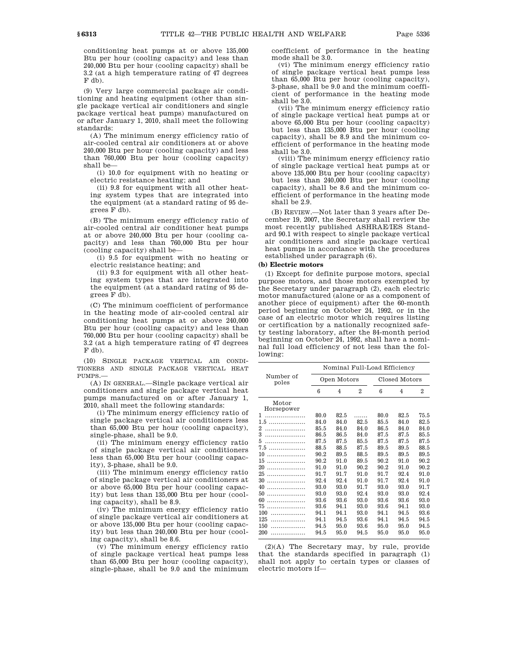conditioning heat pumps at or above 135,000 Btu per hour (cooling capacity) and less than 240,000 Btu per hour (cooling capacity) shall be 3.2 (at a high temperature rating of 47 degrees F db).

(9) Very large commercial package air conditioning and heating equipment (other than single package vertical air conditioners and single package vertical heat pumps) manufactured on or after January 1, 2010, shall meet the following standards:

(A) The minimum energy efficiency ratio of air-cooled central air conditioners at or above 240,000 Btu per hour (cooling capacity) and less than 760,000 Btu per hour (cooling capacity) shall be—

(i) 10.0 for equipment with no heating or electric resistance heating; and

(ii) 9.8 for equipment with all other heating system types that are integrated into the equipment (at a standard rating of 95 degrees F db).

(B) The minimum energy efficiency ratio of air-cooled central air conditioner heat pumps at or above 240,000 Btu per hour (cooling capacity) and less than 760,000 Btu per hour (cooling capacity) shall be—

(i) 9.5 for equipment with no heating or electric resistance heating; and

(ii) 9.3 for equipment with all other heating system types that are integrated into the equipment (at a standard rating of 95 degrees F db).

(C) The minimum coefficient of performance in the heating mode of air-cooled central air conditioning heat pumps at or above 240,000 Btu per hour (cooling capacity) and less than 760,000 Btu per hour (cooling capacity) shall be 3.2 (at a high temperature rating of 47 degrees F db).

(10) SINGLE PACKAGE VERTICAL AIR CONDI-TIONERS AND SINGLE PACKAGE VERTICAL HEAT PUMPS.—

(A) IN GENERAL.—Single package vertical air conditioners and single package vertical heat pumps manufactured on or after January 1, 2010, shall meet the following standards:

(i) The minimum energy efficiency ratio of single package vertical air conditioners less than 65,000 Btu per hour (cooling capacity), single-phase, shall be 9.0.

(ii) The minimum energy efficiency ratio of single package vertical air conditioners less than 65,000 Btu per hour (cooling capacity), 3-phase, shall be 9.0.

(iii) The minimum energy efficiency ratio of single package vertical air conditioners at or above 65,000 Btu per hour (cooling capacity) but less than 135,000 Btu per hour (cooling capacity), shall be 8.9.

(iv) The minimum energy efficiency ratio of single package vertical air conditioners at or above 135,000 Btu per hour (cooling capacity) but less than 240,000 Btu per hour (cooling capacity), shall be 8.6.

(v) The minimum energy efficiency ratio of single package vertical heat pumps less than 65,000 Btu per hour (cooling capacity), single-phase, shall be 9.0 and the minimum

coefficient of performance in the heating mode shall be 3.0.

(vi) The minimum energy efficiency ratio of single package vertical heat pumps less than 65,000 Btu per hour (cooling capacity), 3-phase, shall be 9.0 and the minimum coefficient of performance in the heating mode shall be 3.0.

(vii) The minimum energy efficiency ratio of single package vertical heat pumps at or above 65,000 Btu per hour (cooling capacity) but less than 135,000 Btu per hour (cooling capacity), shall be 8.9 and the minimum coefficient of performance in the heating mode shall be 3.0.

(viii) The minimum energy efficiency ratio of single package vertical heat pumps at or above 135,000 Btu per hour (cooling capacity) but less than 240,000 Btu per hour (cooling capacity), shall be 8.6 and the minimum coefficient of performance in the heating mode shall be 2.9.

(B) REVIEW.—Not later than 3 years after December 19, 2007, the Secretary shall review the most recently published ASHRAE/IES Standard 90.1 with respect to single package vertical air conditioners and single package vertical heat pumps in accordance with the procedures established under paragraph (6).

## **(b) Electric motors**

(1) Except for definite purpose motors, special purpose motors, and those motors exempted by the Secretary under paragraph (2), each electric motor manufactured (alone or as a component of another piece of equipment) after the 60-month period beginning on October 24, 1992, or in the case of an electric motor which requires listing or certification by a nationally recognized safety testing laboratory, after the 84-month period beginning on October 24, 1992, shall have a nominal full load efficiency of not less than the following:

|                     | Nominal Full-Load Efficiency |      |      |               |                |                |  |
|---------------------|------------------------------|------|------|---------------|----------------|----------------|--|
| Number of<br>poles  | Open Motors                  |      |      | Closed Motors |                |                |  |
|                     | 6                            | 4    | 2    | 6             | $\overline{4}$ | $\overline{2}$ |  |
| Motor<br>Horsepower |                              |      |      |               |                |                |  |
| 1                   | 80.0                         | 82.5 |      | 80.0          | 82.5           | 75.5           |  |
| 1.5<br>.            | 84.0                         | 84.0 | 82.5 | 85.5          | 84.0           | 82.5           |  |
| 2                   | 85.5                         | 84.0 | 84.0 | 86.5          | 84.0           | 84.0           |  |
| 3                   | 86.5                         | 86.5 | 84.0 | 87.5          | 87.5           | 85.5           |  |
| 5                   | 87.5                         | 87.5 | 85.5 | 87.5          | 87.5           | 87.5           |  |
| 7.5<br>.            | 88.5                         | 88.5 | 87.5 | 89.5          | 89.5           | 88.5           |  |
| 10<br>              | 90.2                         | 89.5 | 88.5 | 89.5          | 89.5           | 89.5           |  |
| 15<br>.             | 90.2                         | 91.0 | 89.5 | 90.2          | 91.0           | 90.2           |  |
| 20<br>.             | 91.0                         | 91.0 | 90.2 | 90.2          | 91.0           | 90.2           |  |
| 25<br>.             | 91.7                         | 91.7 | 91.0 | 91.7          | 92.4           | 91.0           |  |
| 30<br>.             | 92.4                         | 92.4 | 91.0 | 91.7          | 92.4           | 91.0           |  |
| 40<br>.             | 93.0                         | 93.0 | 91.7 | 93.0          | 93.0           | 91.7           |  |
| 50<br>.             | 93.0                         | 93.0 | 92.4 | 93.0          | 93.0           | 92.4           |  |
| 60<br>.             | 93.6                         | 93.6 | 93.0 | 93.6          | 93.6           | 93.0           |  |
| 75                  | 93.6                         | 94.1 | 93.0 | 93.6          | 94.1           | 93.0           |  |
| 100                 | 94.1                         | 94.1 | 93.0 | 94.1          | 94.5           | 93.6           |  |
| 125                 | 94.1                         | 94.5 | 93.6 | 94.1          | 94.5           | 94.5           |  |
| 150<br>.            | 94.5                         | 95.0 | 93.6 | 95.0          | 95.0           | 94.5           |  |
| 200                 | 94.5                         | 95.0 | 94.5 | 95.0          | 95.0           | 95.0           |  |

(2)(A) The Secretary may, by rule, provide that the standards specified in paragraph (1) shall not apply to certain types or classes of electric motors if—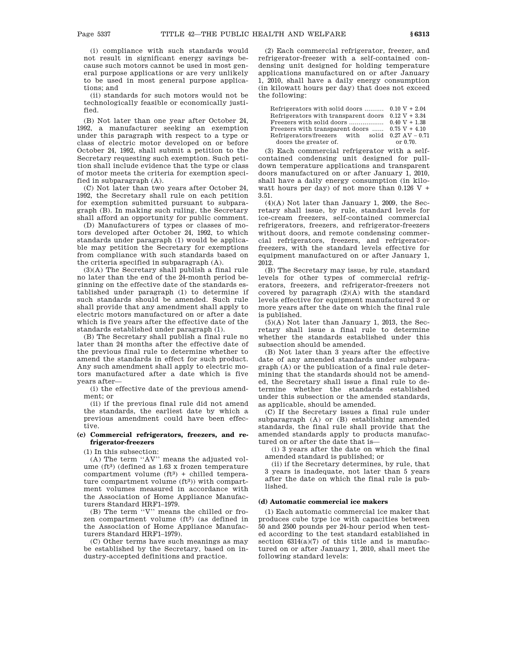(i) compliance with such standards would not result in significant energy savings because such motors cannot be used in most general purpose applications or are very unlikely to be used in most general purpose applications; and

(ii) standards for such motors would not be technologically feasible or economically justified.

(B) Not later than one year after October 24, 1992, a manufacturer seeking an exemption under this paragraph with respect to a type or class of electric motor developed on or before October 24, 1992, shall submit a petition to the Secretary requesting such exemption. Such petition shall include evidence that the type or class of motor meets the criteria for exemption specified in subparagraph (A).

(C) Not later than two years after October 24, 1992, the Secretary shall rule on each petition for exemption submitted pursuant to subparagraph (B). In making such ruling, the Secretary shall afford an opportunity for public comment.

(D) Manufacturers of types or classes of motors developed after October 24, 1992, to which standards under paragraph (1) would be applicable may petition the Secretary for exemptions from compliance with such standards based on the criteria specified in subparagraph (A).

(3)(A) The Secretary shall publish a final rule no later than the end of the 24-month period beginning on the effective date of the standards established under paragraph (1) to determine if such standards should be amended. Such rule shall provide that any amendment shall apply to electric motors manufactured on or after a date which is five years after the effective date of the standards established under paragraph (1).

(B) The Secretary shall publish a final rule no later than 24 months after the effective date of the previous final rule to determine whether to amend the standards in effect for such product. Any such amendment shall apply to electric motors manufactured after a date which is five years after—

(i) the effective date of the previous amendment; or

(ii) if the previous final rule did not amend the standards, the earliest date by which a previous amendment could have been effective.

## **(c) Commercial refrigerators, freezers, and refrigerator-freezers**

(1) In this subsection:

(A) The term ''AV'' means the adjusted volume  $(ft<sup>3</sup>)$  (defined as 1.63 x frozen temperature compartment volume  $(ft<sup>3</sup>)$  + chilled temperature compartment volume (ft<sup>3</sup>)) with compartment volumes measured in accordance with the Association of Home Appliance Manufacturers Standard HRF1–1979.

(B) The term ''V'' means the chilled or frozen compartment volume (ft3) (as defined in the Association of Home Appliance Manufacturers Standard HRF1–1979).

(C) Other terms have such meanings as may be established by the Secretary, based on industry-accepted definitions and practice.

(2) Each commercial refrigerator, freezer, and refrigerator-freezer with a self-contained condensing unit designed for holding temperature applications manufactured on or after January 1, 2010, shall have a daily energy consumption (in kilowatt hours per day) that does not exceed the following:

| Refrigerators with solid doors $0.10 V + 2.04$               |          |
|--------------------------------------------------------------|----------|
| Refrigerators with transparent doors $0.12 \text{ V} + 3.34$ |          |
|                                                              |          |
| Freezers with transparent doors $0.75 V + 4.10$              |          |
| Refrigerators/freezers with solid $0.27 \text{ AV} - 0.71$   |          |
| doors the greater of.                                        | or 0.70. |

(3) Each commercial refrigerator with a selfcontained condensing unit designed for pulldown temperature applications and transparent doors manufactured on or after January 1, 2010, shall have a daily energy consumption (in kilowatt hours per day) of not more than  $0.126$  V + 3.51.

(4)(A) Not later than January 1, 2009, the Secretary shall issue, by rule, standard levels for ice-cream freezers, self-contained commercial refrigerators, freezers, and refrigerator-freezers without doors, and remote condensing commercial refrigerators, freezers, and refrigeratorfreezers, with the standard levels effective for equipment manufactured on or after January 1, 2012.

(B) The Secretary may issue, by rule, standard levels for other types of commercial refrigerators, freezers, and refrigerator-freezers not covered by paragraph (2)(A) with the standard levels effective for equipment manufactured 3 or more years after the date on which the final rule is published.

(5)(A) Not later than January 1, 2013, the Secretary shall issue a final rule to determine whether the standards established under this subsection should be amended.

(B) Not later than 3 years after the effective date of any amended standards under subparagraph (A) or the publication of a final rule determining that the standards should not be amended, the Secretary shall issue a final rule to determine whether the standards established under this subsection or the amended standards, as applicable, should be amended.

(C) If the Secretary issues a final rule under subparagraph (A) or (B) establishing amended standards, the final rule shall provide that the amended standards apply to products manufactured on or after the date that is—

(i) 3 years after the date on which the final amended standard is published; or

(ii) if the Secretary determines, by rule, that 3 years is inadequate, not later than 5 years after the date on which the final rule is published.

### **(d) Automatic commercial ice makers**

(1) Each automatic commercial ice maker that produces cube type ice with capacities between 50 and 2500 pounds per 24-hour period when tested according to the test standard established in section  $6314(a)(7)$  of this title and is manufactured on or after January 1, 2010, shall meet the following standard levels: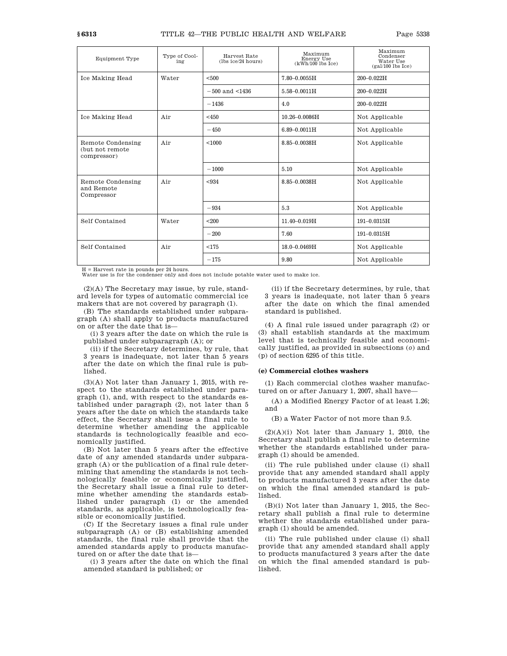| Equipment Type                                       | Type of Cool-<br>ing | Harvest Rate<br>(lbs ice/24 hours) | Maximum<br>Energy Use<br>$(kWh/100$ lbs Ice) | Maximum<br>Condenser<br>Water Use<br>$(gal/100$ lbs Ice) |  |
|------------------------------------------------------|----------------------|------------------------------------|----------------------------------------------|----------------------------------------------------------|--|
| Ice Making Head                                      | Water                | < 500                              | $7.80 - 0.0055H$                             | 200-0.022H                                               |  |
|                                                      |                      | $-500$ and $\leq 1436$             | $5.58 - 0.0011H$                             | 200-0.022H                                               |  |
|                                                      |                      | $-1436$                            | 4.0                                          | 200-0.022H                                               |  |
| Ice Making Head                                      | Air                  | $<$ 450                            | $10.26 - 0.0086$ H                           | Not Applicable                                           |  |
|                                                      |                      | $-450$                             | $6.89 - 0.0011H$                             | Not Applicable                                           |  |
| Remote Condensing<br>(but not remote<br>compressor)  | Air                  | < 1000                             | $8.85 - 0.0038$ H                            | Not Applicable                                           |  |
|                                                      |                      | $-1000$                            | 5.10                                         | Not Applicable                                           |  |
| Air<br>Remote Condensing<br>and Remote<br>Compressor |                      | < 934                              | $8.85 - 0.0038$ H                            | Not Applicable                                           |  |
|                                                      |                      | $-934$                             | 5.3                                          | Not Applicable                                           |  |
| Self Contained                                       | Water                | < 200                              | 11.40-0.019H                                 | 191-0.0315H                                              |  |
|                                                      |                      | $-200$                             | 7.60                                         | 191-0.0315H                                              |  |
| Self Contained                                       | Air                  | < 175                              | 18.0-0.0469H                                 | Not Applicable                                           |  |
|                                                      |                      | $-175$                             | 9.80                                         | Not Applicable                                           |  |

H = Harvest rate in pounds per 24 hours. Water use is for the condenser only and does not include potable water used to make ice.

(2)(A) The Secretary may issue, by rule, standard levels for types of automatic commercial ice makers that are not covered by paragraph (1).

(B) The standards established under subparagraph (A) shall apply to products manufactured on or after the date that is—

(i) 3 years after the date on which the rule is published under subparagraph (A); or

(ii) if the Secretary determines, by rule, that 3 years is inadequate, not later than 5 years after the date on which the final rule is published.

(3)(A) Not later than January 1, 2015, with respect to the standards established under paragraph (1), and, with respect to the standards established under paragraph (2), not later than 5 years after the date on which the standards take effect, the Secretary shall issue a final rule to determine whether amending the applicable standards is technologically feasible and economically justified.

(B) Not later than 5 years after the effective date of any amended standards under subparagraph (A) or the publication of a final rule determining that amending the standards is not technologically feasible or economically justified, the Secretary shall issue a final rule to determine whether amending the standards established under paragraph (1) or the amended standards, as applicable, is technologically feasible or economically justified.

(C) If the Secretary issues a final rule under subparagraph (A) or (B) establishing amended standards, the final rule shall provide that the amended standards apply to products manufactured on or after the date that is—

(i) 3 years after the date on which the final amended standard is published; or

(ii) if the Secretary determines, by rule, that 3 years is inadequate, not later than 5 years after the date on which the final amended standard is published.

(4) A final rule issued under paragraph (2) or (3) shall establish standards at the maximum level that is technically feasible and economically justified, as provided in subsections (*o*) and (p) of section 6295 of this title.

#### **(e) Commercial clothes washers**

(1) Each commercial clothes washer manufactured on or after January 1, 2007, shall have—

(A) a Modified Energy Factor of at least 1.26; and

(B) a Water Factor of not more than 9.5.

 $(2)(A)(i)$  Not later than January 1, 2010, the Secretary shall publish a final rule to determine whether the standards established under paragraph (1) should be amended.

(ii) The rule published under clause (i) shall provide that any amended standard shall apply to products manufactured 3 years after the date on which the final amended standard is published.

(B)(i) Not later than January 1, 2015, the Secretary shall publish a final rule to determine whether the standards established under paragraph (1) should be amended.

(ii) The rule published under clause (i) shall provide that any amended standard shall apply to products manufactured 3 years after the date on which the final amended standard is published.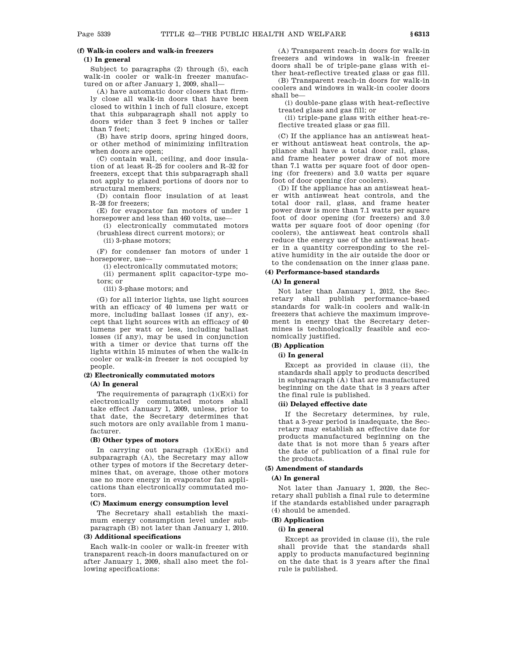# **(f) Walk-in coolers and walk-in freezers**

# **(1) In general**

Subject to paragraphs (2) through (5), each walk-in cooler or walk-in freezer manufactured on or after January 1, 2009, shall—

(A) have automatic door closers that firmly close all walk-in doors that have been closed to within 1 inch of full closure, except that this subparagraph shall not apply to doors wider than 3 feet 9 inches or taller than 7 feet;

(B) have strip doors, spring hinged doors, or other method of minimizing infiltration when doors are open;

(C) contain wall, ceiling, and door insulation of at least R–25 for coolers and R–32 for freezers, except that this subparagraph shall not apply to glazed portions of doors nor to structural members;

(D) contain floor insulation of at least R–28 for freezers;

(E) for evaporator fan motors of under 1 horsepower and less than 460 volts, use—

(i) electronically commutated motors (brushless direct current motors); or

(ii) 3-phase motors;

(F) for condenser fan motors of under 1 horsepower, use—

(i) electronically commutated motors;

(ii) permanent split capacitor-type motors; or

(iii) 3-phase motors; and

(G) for all interior lights, use light sources with an efficacy of 40 lumens per watt or more, including ballast losses (if any), except that light sources with an efficacy of 40 lumens per watt or less, including ballast losses (if any), may be used in conjunction with a timer or device that turns off the lights within 15 minutes of when the walk-in cooler or walk-in freezer is not occupied by people.

#### **(2) Electronically commutated motors**

#### **(A) In general**

The requirements of paragraph (1)(E)(i) for electronically commutated motors shall take effect January 1, 2009, unless, prior to that date, the Secretary determines that such motors are only available from 1 manufacturer.

#### **(B) Other types of motors**

In carrying out paragraph (1)(E)(i) and subparagraph (A), the Secretary may allow other types of motors if the Secretary determines that, on average, those other motors use no more energy in evaporator fan applications than electronically commutated motors.

#### **(C) Maximum energy consumption level**

The Secretary shall establish the maximum energy consumption level under subparagraph (B) not later than January 1, 2010.

#### **(3) Additional specifications**

Each walk-in cooler or walk-in freezer with transparent reach-in doors manufactured on or after January 1, 2009, shall also meet the following specifications:

(A) Transparent reach-in doors for walk-in freezers and windows in walk-in freezer doors shall be of triple-pane glass with either heat-reflective treated glass or gas fill.

(B) Transparent reach-in doors for walk-in coolers and windows in walk-in cooler doors shall be—

(i) double-pane glass with heat-reflective treated glass and gas fill; or

(ii) triple-pane glass with either heat-reflective treated glass or gas fill.

(C) If the appliance has an antisweat heater without antisweat heat controls, the appliance shall have a total door rail, glass, and frame heater power draw of not more than 7.1 watts per square foot of door opening (for freezers) and 3.0 watts per square foot of door opening (for coolers).

(D) If the appliance has an antisweat heater with antisweat heat controls, and the total door rail, glass, and frame heater power draw is more than 7.1 watts per square foot of door opening (for freezers) and 3.0 watts per square foot of door opening (for coolers), the antisweat heat controls shall reduce the energy use of the antisweat heater in a quantity corresponding to the relative humidity in the air outside the door or to the condensation on the inner glass pane.

## **(4) Performance-based standards**

## **(A) In general**

Not later than January 1, 2012, the Secretary shall publish performance-based standards for walk-in coolers and walk-in freezers that achieve the maximum improvement in energy that the Secretary determines is technologically feasible and economically justified.

## **(B) Application**

## **(i) In general**

Except as provided in clause (ii), the standards shall apply to products described in subparagraph (A) that are manufactured beginning on the date that is 3 years after the final rule is published.

#### **(ii) Delayed effective date**

If the Secretary determines, by rule, that a 3-year period is inadequate, the Secretary may establish an effective date for products manufactured beginning on the date that is not more than 5 years after the date of publication of a final rule for the products.

## **(5) Amendment of standards**

#### **(A) In general**

Not later than January 1, 2020, the Secretary shall publish a final rule to determine if the standards established under paragraph (4) should be amended.

## **(B) Application**

## **(i) In general**

Except as provided in clause (ii), the rule shall provide that the standards shall apply to products manufactured beginning on the date that is 3 years after the final rule is published.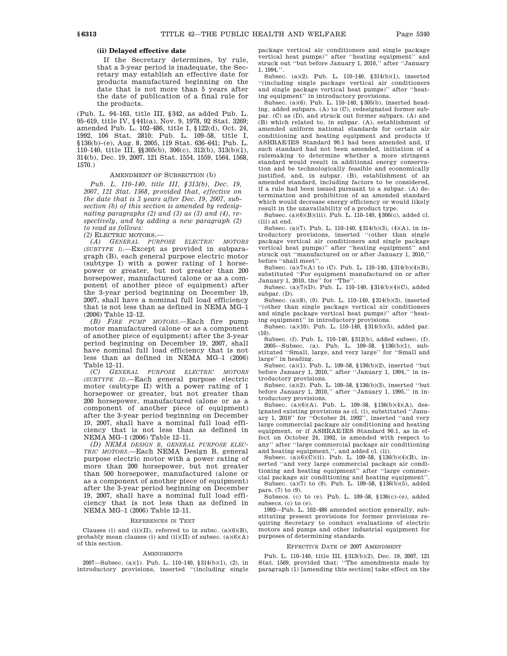#### **(ii) Delayed effective date**

If the Secretary determines, by rule, that a 3-year period is inadequate, the Secretary may establish an effective date for products manufactured beginning on the date that is not more than 5 years after the date of publication of a final rule for the products.

(Pub. L. 94–163, title III, §342, as added Pub. L. 95–619, title IV, §441(a), Nov. 9, 1978, 92 Stat. 3269; amended Pub. L. 102–486, title I, §122(d), Oct. 24, 1992, 106 Stat. 2810; Pub. L. 109–58, title I, §136(b)–(e), Aug. 8, 2005, 119 Stat. 636–641; Pub. L. 110–140, title III, §§305(b), 306(c), 312(b), 313(b)(1), 314(b), Dec. 19, 2007, 121 Stat. 1554, 1559, 1564, 1568, 1570.)

#### AMENDMENT OF SUBSECTION (b)

*Pub. L. 110–140, title III, §313(b), Dec. 19, 2007, 121 Stat. 1568, provided that, effective on the date that is 3 years after Dec. 19, 2007, subsection (b) of this section is amended by redesignating paragraphs (2) and (3) as (3) and (4), respectively, and by adding a new paragraph (2) to read as follows:*

*(2)* ELECTRIC MOTORS.—

*(A) GENERAL PURPOSE ELECTRIC MOTORS (SUBTYPE I)*.—Except as provided in subparagraph (B), each general purpose electric motor (subtype I) with a power rating of 1 horsepower or greater, but not greater than 200 horsepower, manufactured (alone or as a component of another piece of equipment) after the 3-year period beginning on December 19, 2007, shall have a nominal full load efficiency that is not less than as defined in NEMA MG–1 (2006) Table 12–12.

*(B) FIRE PUMP MOTORS*.—Each fire pump motor manufactured (alone or as a component of another piece of equipment) after the 3-year period beginning on December 19, 2007, shall have nominal full load efficiency that is not less than as defined in NEMA MG–1 (2006) Table 12–11.

*(C) GENERAL PURPOSE ELECTRIC MOTORS (SUBTYPE II)*.—Each general purpose electric motor (subtype II) with a power rating of 1 horsepower or greater, but not greater than 200 horsepower, manufactured (alone or as a component of another piece of equipment) after the 3-year period beginning on December 19, 2007, shall have a nominal full load efficiency that is not less than as defined in NEMA MG–1 (2006) Table 12–11.

*(D) NEMA DESIGN B, GENERAL PURPOSE ELEC-TRIC MOTORS*.—Each NEMA Design B, general purpose electric motor with a power rating of more than 200 horsepower, but not greater than 500 horsepower, manufactured (alone or as a component of another piece of equipment) after the 3-year period beginning on December 19, 2007, shall have a nominal full load efficiency that is not less than as defined in NEMA MG–1 (2006) Table 12–11.

#### REFERENCES IN TEXT

Clauses (i) and (ii)(II), referred to in subsc.  $(a)(6)(B)$ , probably mean clauses (i) and (ii)(II) of subsec.  $(a)(6)(A)$ of this section.

#### AMENDMENTS

2007—Subsec. (a)(1). Pub. L. 110–140, §314(b)(1), (2), in introductory provisions, inserted ''(including single package vertical air conditioners and single package vertical heat pumps)'' after ''heating equipment'' and struck out ''but before January 1, 2010,'' after ''January 1, 1994,''.

Subsec. (a)(2). Pub. L. 110–140, §314(b)(1), inserted ''(including single package vertical air conditioners and single package vertical heat pumps)'' after ''heating equipment'' in introductory provisions.

Subsec. (a)(6). Pub. L. 110–140, §305(b), inserted heading, added subpars. (A) to (C), redesignated former subpar. (C) as (D), and struck out former subpars. (A) and (B) which related to, in subpar. (A), establishment of amended uniform national standards for certain air conditioning and heating equipment and products if ASHRAE/IES Standard 90.1 had been amended and, if such standard had not been amended, initiation of a rulemaking to determine whether a more stringent standard would result in additional energy conservation and be technologically feasible and economically justified, and, in subpar. (B), establishment of an amended standard, including factors to be considered, if a rule had been issued pursuant to a subpar. (A) determination and prohibition of an amended standard which would decrease energy efficiency or would likely result in the unavailability of a product type.

Subsec. (a)(6)(B)(iii). Pub. L. 110–140, §306(c), added cl. (iii) at end.

Subsec. (a)(7). Pub. L. 110–140, §314(b)(3), (4)(A), in introductory provisions, inserted ''(other than single package vertical air conditioners and single package vertical heat pumps)'' after ''heating equipment'' and struck out ''manufactured on or after January 1, 2010,'' before ''shall meet''.

Subsec. (a)(7)(A) to (C). Pub. L. 110–140,  $$314(b)(4)(B)$ , substituted ''For equipment manufactured on or after January 1, 2010, the'' for ''The''.

Subsec. (a)(7)(D). Pub. L. 110–140, §314(b)(4)(C), added subpar. (D).

Subsec. (a)(8), (9). Pub. L. 110–140, §314(b)(3), inserted ''(other than single package vertical air conditioners and single package vertical heat pumps)'' after ''heat-

ing equipment'' in introductory provisions. Subsec. (a)(10). Pub. L. 110–140, §314(b)(5), added par.  $(10).$ 

Subsec. (f). Pub. L. 110–140, §312(b), added subsec. (f). 2005—Subsec. (a). Pub. L. 109–58, §136(b)(1), substituted ''Small, large, and very large'' for ''Small and large'' in heading.

Subsec. (a)(1). Pub. L. 109–58, §136(b)(2), inserted ''but before January 1, 2010,'' after ''January 1, 1994,'' in introductory provisions.

Subsec. (a)(2). Pub. L. 109–58, §136(b)(3), inserted ''but before January 1, 2010,'' after ''January 1, 1995,'' in introductory provisions.

Subsec.  $(a)(6)(A)$ . Pub. L. 109–58, §136(b)(4)(A), designated existing provisions as cl. (i), substituted ''January 1, 2010'' for ''October 24, 1992'', inserted ''and very large commercial package air conditioning and heating equipment, or if ASHRAE/IES Standard 90.1, as in effect on October 24, 1992, is amended with respect to any" after "large commercial package air conditioning ' after "large commercial package air conditioning

and heating equipment,", and added cl. (ii).<br>Subsec.  $(a)(6)(C)(ii)$ . Pub. L. 109–58,  $$136(b)(4)(B)$ , inserted ''and very large commercial package air conditioning and heating equipment'' after ''large commer-

cial package air conditioning and heating equipment''. Subsec. (a)(7) to (9). Pub. L. 109–58, §136(b)(5), added pars. (7) to (9).

Subsecs. (c) to (e). Pub. L. 109–58, §136(c)–(e), added subsecs. (c) to (e).

1992—Pub. L. 102–486 amended section generally, substituting present provisions for former provisions requiring Secretary to conduct evaluations of electric motors and pumps and other industrial equipment for purposes of determining standards.

#### EFFECTIVE DATE OF 2007 AMENDMENT

Pub. L. 110–140, title III, §313(b)(2), Dec. 19, 2007, 121 Stat. 1569, provided that: ''The amendments made by paragraph (1) [amending this section] take effect on the